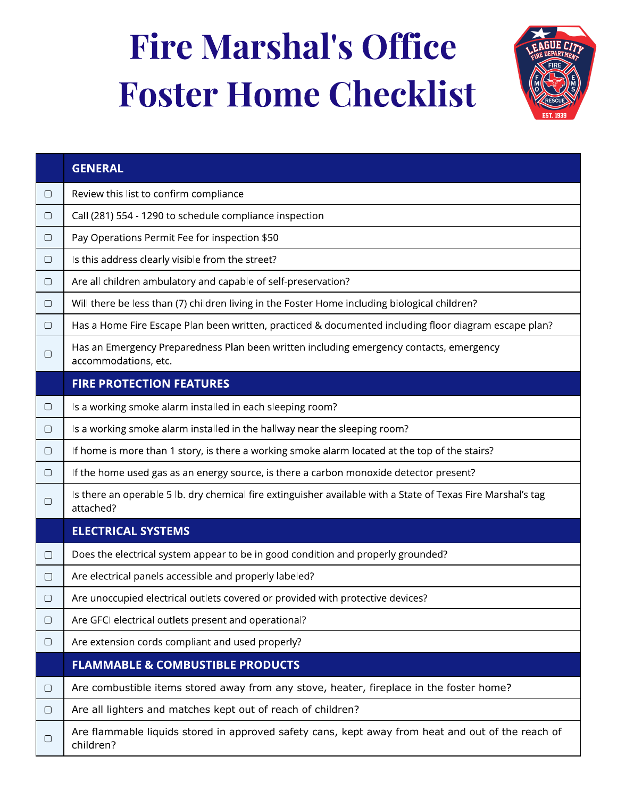## Fire Marshal's Office Foster Home Checklist



|        | <b>GENERAL</b>                                                                                                            |
|--------|---------------------------------------------------------------------------------------------------------------------------|
| $\Box$ | Review this list to confirm compliance                                                                                    |
| $\Box$ | Call (281) 554 - 1290 to schedule compliance inspection                                                                   |
| $\Box$ | Pay Operations Permit Fee for inspection \$50                                                                             |
| $\Box$ | Is this address clearly visible from the street?                                                                          |
| $\Box$ | Are all children ambulatory and capable of self-preservation?                                                             |
| $\Box$ | Will there be less than (7) children living in the Foster Home including biological children?                             |
| $\Box$ | Has a Home Fire Escape Plan been written, practiced & documented including floor diagram escape plan?                     |
| $\Box$ | Has an Emergency Preparedness Plan been written including emergency contacts, emergency<br>accommodations, etc.           |
|        | <b>FIRE PROTECTION FEATURES</b>                                                                                           |
| $\Box$ | Is a working smoke alarm installed in each sleeping room?                                                                 |
| $\Box$ | Is a working smoke alarm installed in the hallway near the sleeping room?                                                 |
| $\Box$ | If home is more than 1 story, is there a working smoke alarm located at the top of the stairs?                            |
| $\Box$ | If the home used gas as an energy source, is there a carbon monoxide detector present?                                    |
| $\Box$ | Is there an operable 5 lb. dry chemical fire extinguisher available with a State of Texas Fire Marshal's tag<br>attached? |
|        | <b>ELECTRICAL SYSTEMS</b>                                                                                                 |
| $\Box$ | Does the electrical system appear to be in good condition and properly grounded?                                          |
| $\Box$ | Are electrical panels accessible and properly labeled?                                                                    |
| $\Box$ | Are unoccupied electrical outlets covered or provided with protective devices?                                            |
| $\Box$ | Are GFCI electrical outlets present and operational?                                                                      |
| $\Box$ | Are extension cords compliant and used properly?                                                                          |
|        | <b>FLAMMABLE &amp; COMBUSTIBLE PRODUCTS</b>                                                                               |
| $\Box$ | Are combustible items stored away from any stove, heater, fireplace in the foster home?                                   |
| $\Box$ | Are all lighters and matches kept out of reach of children?                                                               |
| $\Box$ | Are flammable liquids stored in approved safety cans, kept away from heat and out of the reach of<br>children?            |